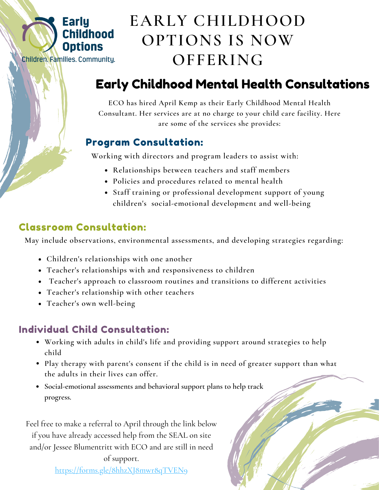

# **EARLY CHILDHOOD OPTIONS IS NOW OFFERING**

# Early Childhood Mental Health Consultations

**ECO has hired April Kemp as their Early Childhood Mental Health Consultant. Her services are at no charge to your child care facility. Here are some of the services she provides:**

## Program Consultation:

**Working with directors and program leaders to assist with:**

- **Relationships between teachers and staff members**
- **Policies and procedures related to mental health**
- **Staff training or professional development support of young children's social-emotional development and well-being**

# Classroom Consultation:

**May include observations, environmental assessments, and developing strategies regarding:**

- **Children's relationships with one another**
- **Teacher's relationships with and responsiveness to children**
- **Teacher's approach to classroom routines and transitions to different activities**
- **Teacher's relationship with other teachers**
- **Teacher's own well-being**

# Individual Child Consultation:

- **Working with adults in child's life and providing support around strategies to help child**
- **Play therapy with parent's consent if the child is in need of greater support than what the adults in their lives can offer.**
- **Social-emotional assessments and behavioral support plans to help track progress.**

Feel free to make a referral to April through the link below if you have already accessed help from the SEAL on site and/or Jessee Blumentritt with ECO and are still in need

> of support. <https://forms.gle/8hhzXJ8mwr8qTVEN9>